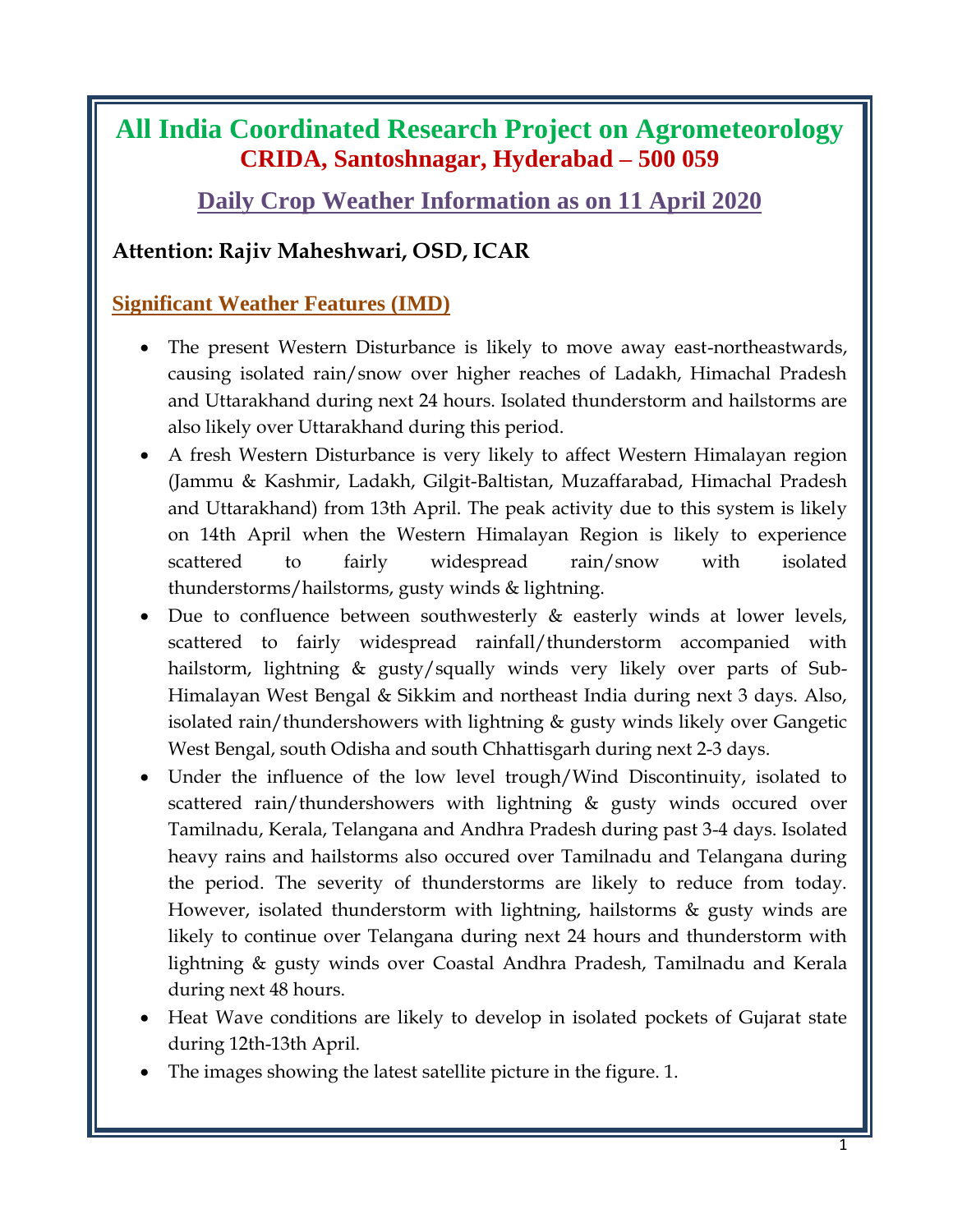# **All India Coordinated Research Project on Agrometeorology CRIDA, Santoshnagar, Hyderabad – 500 059**

**Daily Crop Weather Information as on 11 April 2020**

### **Attention: Rajiv Maheshwari, OSD, ICAR**

### **Significant Weather Features (IMD)**

- The present Western Disturbance is likely to move away east-northeastwards, causing isolated rain/snow over higher reaches of Ladakh, Himachal Pradesh and Uttarakhand during next 24 hours. Isolated thunderstorm and hailstorms are also likely over Uttarakhand during this period.
- A fresh Western Disturbance is very likely to affect Western Himalayan region (Jammu & Kashmir, Ladakh, Gilgit-Baltistan, Muzaffarabad, Himachal Pradesh and Uttarakhand) from 13th April. The peak activity due to this system is likely on 14th April when the Western Himalayan Region is likely to experience scattered to fairly widespread rain/snow with isolated thunderstorms/hailstorms, gusty winds & lightning.
- Due to confluence between southwesterly  $\&$  easterly winds at lower levels, scattered to fairly widespread rainfall/thunderstorm accompanied with hailstorm, lightning & gusty/squally winds very likely over parts of Sub-Himalayan West Bengal & Sikkim and northeast India during next 3 days. Also, isolated rain/thundershowers with lightning & gusty winds likely over Gangetic West Bengal, south Odisha and south Chhattisgarh during next 2-3 days.
- Under the influence of the low level trough/Wind Discontinuity, isolated to scattered rain/thundershowers with lightning & gusty winds occured over Tamilnadu, Kerala, Telangana and Andhra Pradesh during past 3-4 days. Isolated heavy rains and hailstorms also occured over Tamilnadu and Telangana during the period. The severity of thunderstorms are likely to reduce from today. However, isolated thunderstorm with lightning, hailstorms & gusty winds are likely to continue over Telangana during next 24 hours and thunderstorm with lightning & gusty winds over Coastal Andhra Pradesh, Tamilnadu and Kerala during next 48 hours.
- Heat Wave conditions are likely to develop in isolated pockets of Gujarat state during 12th-13th April.
- The images showing the latest satellite picture in the figure. 1.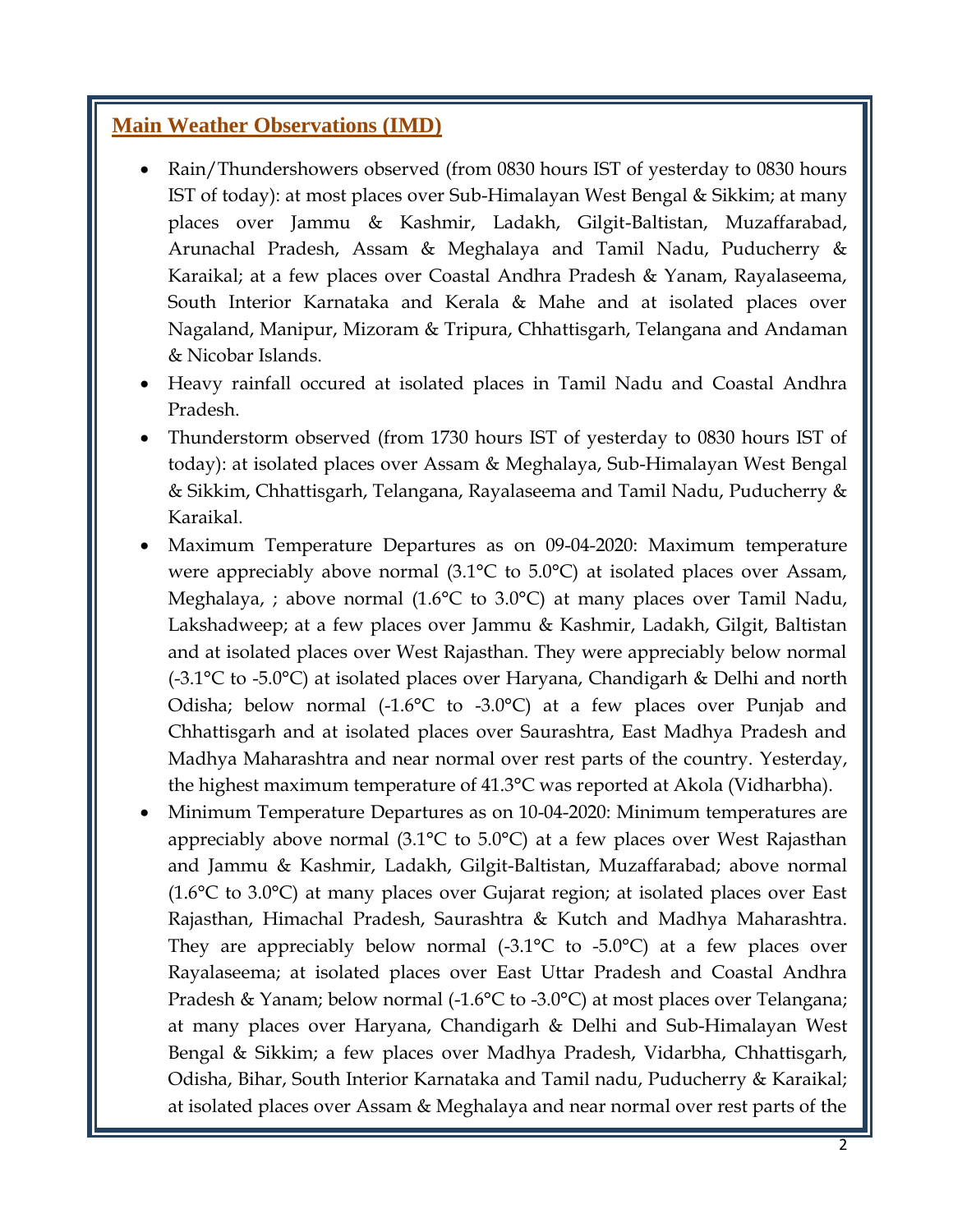#### **Main Weather Observations (IMD)**

- Rain/Thundershowers observed (from 0830 hours IST of yesterday to 0830 hours IST of today): at most places over Sub-Himalayan West Bengal & Sikkim; at many places over Jammu & Kashmir, Ladakh, Gilgit-Baltistan, Muzaffarabad, Arunachal Pradesh, Assam & Meghalaya and Tamil Nadu, Puducherry & Karaikal; at a few places over Coastal Andhra Pradesh & Yanam, Rayalaseema, South Interior Karnataka and Kerala & Mahe and at isolated places over Nagaland, Manipur, Mizoram & Tripura, Chhattisgarh, Telangana and Andaman & Nicobar Islands.
- Heavy rainfall occured at isolated places in Tamil Nadu and Coastal Andhra Pradesh.
- Thunderstorm observed (from 1730 hours IST of yesterday to 0830 hours IST of today): at isolated places over Assam & Meghalaya, Sub-Himalayan West Bengal & Sikkim, Chhattisgarh, Telangana, Rayalaseema and Tamil Nadu, Puducherry & Karaikal.
- Maximum Temperature Departures as on 09-04-2020: Maximum temperature were appreciably above normal (3.1°C to 5.0°C) at isolated places over Assam, Meghalaya, ; above normal (1.6°C to 3.0°C) at many places over Tamil Nadu, Lakshadweep; at a few places over Jammu & Kashmir, Ladakh, Gilgit, Baltistan and at isolated places over West Rajasthan. They were appreciably below normal (-3.1°C to -5.0°C) at isolated places over Haryana, Chandigarh & Delhi and north Odisha; below normal (-1.6°C to -3.0°C) at a few places over Punjab and Chhattisgarh and at isolated places over Saurashtra, East Madhya Pradesh and Madhya Maharashtra and near normal over rest parts of the country. Yesterday, the highest maximum temperature of 41.3°C was reported at Akola (Vidharbha).
- Minimum Temperature Departures as on 10-04-2020: Minimum temperatures are appreciably above normal (3.1°C to 5.0°C) at a few places over West Rajasthan and Jammu & Kashmir, Ladakh, Gilgit-Baltistan, Muzaffarabad; above normal (1.6°C to 3.0°C) at many places over Gujarat region; at isolated places over East Rajasthan, Himachal Pradesh, Saurashtra & Kutch and Madhya Maharashtra. They are appreciably below normal  $(-3.1^{\circ}C)$  to  $-5.0^{\circ}C$  at a few places over Rayalaseema; at isolated places over East Uttar Pradesh and Coastal Andhra Pradesh & Yanam; below normal (-1.6°C to -3.0°C) at most places over Telangana; at many places over Haryana, Chandigarh & Delhi and Sub-Himalayan West Bengal & Sikkim; a few places over Madhya Pradesh, Vidarbha, Chhattisgarh, Odisha, Bihar, South Interior Karnataka and Tamil nadu, Puducherry & Karaikal; at isolated places over Assam & Meghalaya and near normal over rest parts of the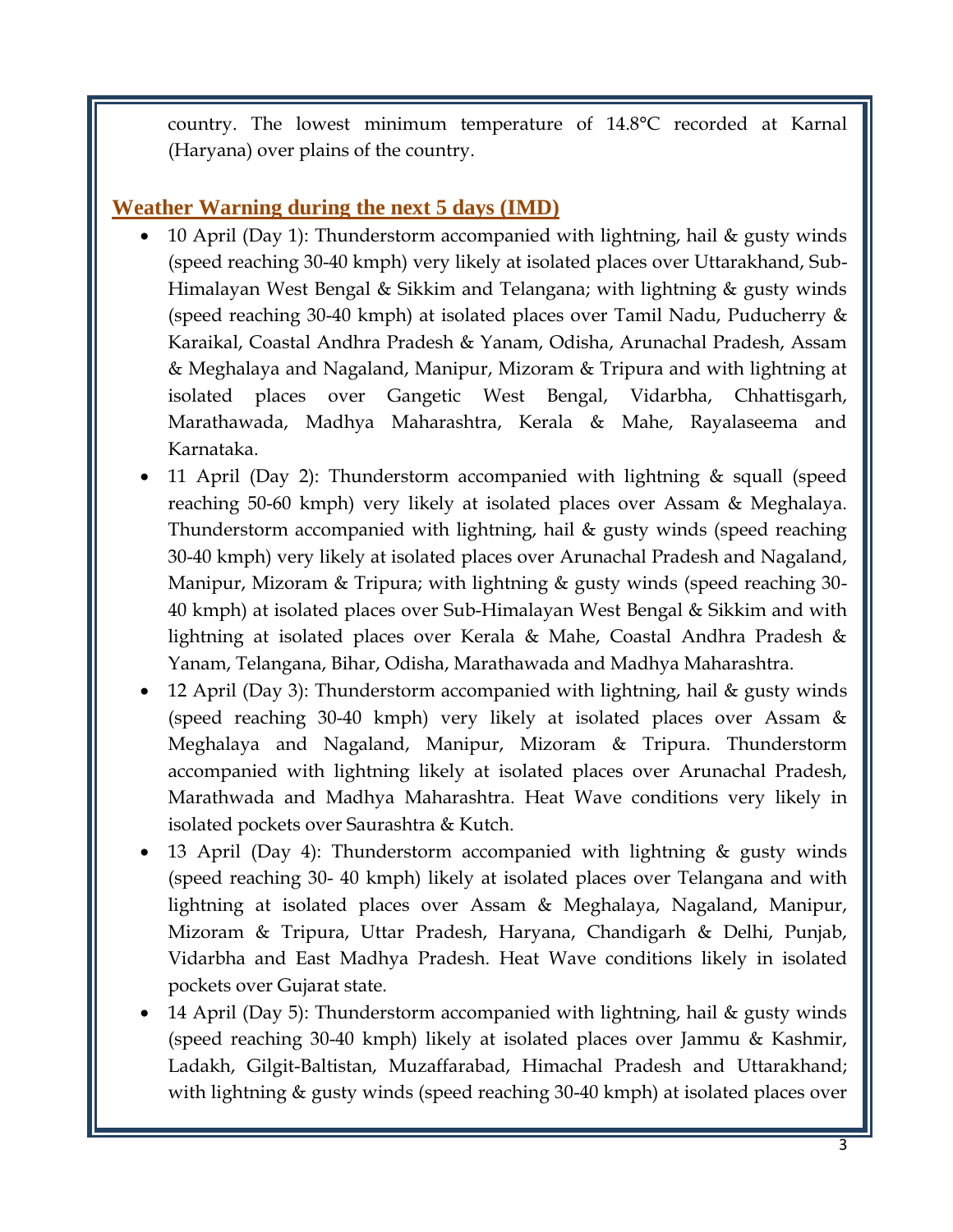country. The lowest minimum temperature of 14.8°C recorded at Karnal (Haryana) over plains of the country.

#### **Weather Warning during the next 5 days (IMD)**

- 10 April (Day 1): Thunderstorm accompanied with lightning, hail & gusty winds (speed reaching 30-40 kmph) very likely at isolated places over Uttarakhand, Sub-Himalayan West Bengal & Sikkim and Telangana; with lightning & gusty winds (speed reaching 30-40 kmph) at isolated places over Tamil Nadu, Puducherry & Karaikal, Coastal Andhra Pradesh & Yanam, Odisha, Arunachal Pradesh, Assam & Meghalaya and Nagaland, Manipur, Mizoram & Tripura and with lightning at isolated places over Gangetic West Bengal, Vidarbha, Chhattisgarh, Marathawada, Madhya Maharashtra, Kerala & Mahe, Rayalaseema and Karnataka.
- 11 April (Day 2): Thunderstorm accompanied with lightning & squall (speed reaching 50-60 kmph) very likely at isolated places over Assam & Meghalaya. Thunderstorm accompanied with lightning, hail & gusty winds (speed reaching 30-40 kmph) very likely at isolated places over Arunachal Pradesh and Nagaland, Manipur, Mizoram & Tripura; with lightning & gusty winds (speed reaching 30- 40 kmph) at isolated places over Sub-Himalayan West Bengal & Sikkim and with lightning at isolated places over Kerala & Mahe, Coastal Andhra Pradesh & Yanam, Telangana, Bihar, Odisha, Marathawada and Madhya Maharashtra.
- 12 April (Day 3): Thunderstorm accompanied with lightning, hail & gusty winds (speed reaching 30-40 kmph) very likely at isolated places over Assam & Meghalaya and Nagaland, Manipur, Mizoram & Tripura. Thunderstorm accompanied with lightning likely at isolated places over Arunachal Pradesh, Marathwada and Madhya Maharashtra. Heat Wave conditions very likely in isolated pockets over Saurashtra & Kutch.
- 13 April (Day 4): Thunderstorm accompanied with lightning & gusty winds (speed reaching 30- 40 kmph) likely at isolated places over Telangana and with lightning at isolated places over Assam & Meghalaya, Nagaland, Manipur, Mizoram & Tripura, Uttar Pradesh, Haryana, Chandigarh & Delhi, Punjab, Vidarbha and East Madhya Pradesh. Heat Wave conditions likely in isolated pockets over Gujarat state.
- 14 April (Day 5): Thunderstorm accompanied with lightning, hail & gusty winds (speed reaching 30-40 kmph) likely at isolated places over Jammu & Kashmir, Ladakh, Gilgit-Baltistan, Muzaffarabad, Himachal Pradesh and Uttarakhand; with lightning & gusty winds (speed reaching 30-40 kmph) at isolated places over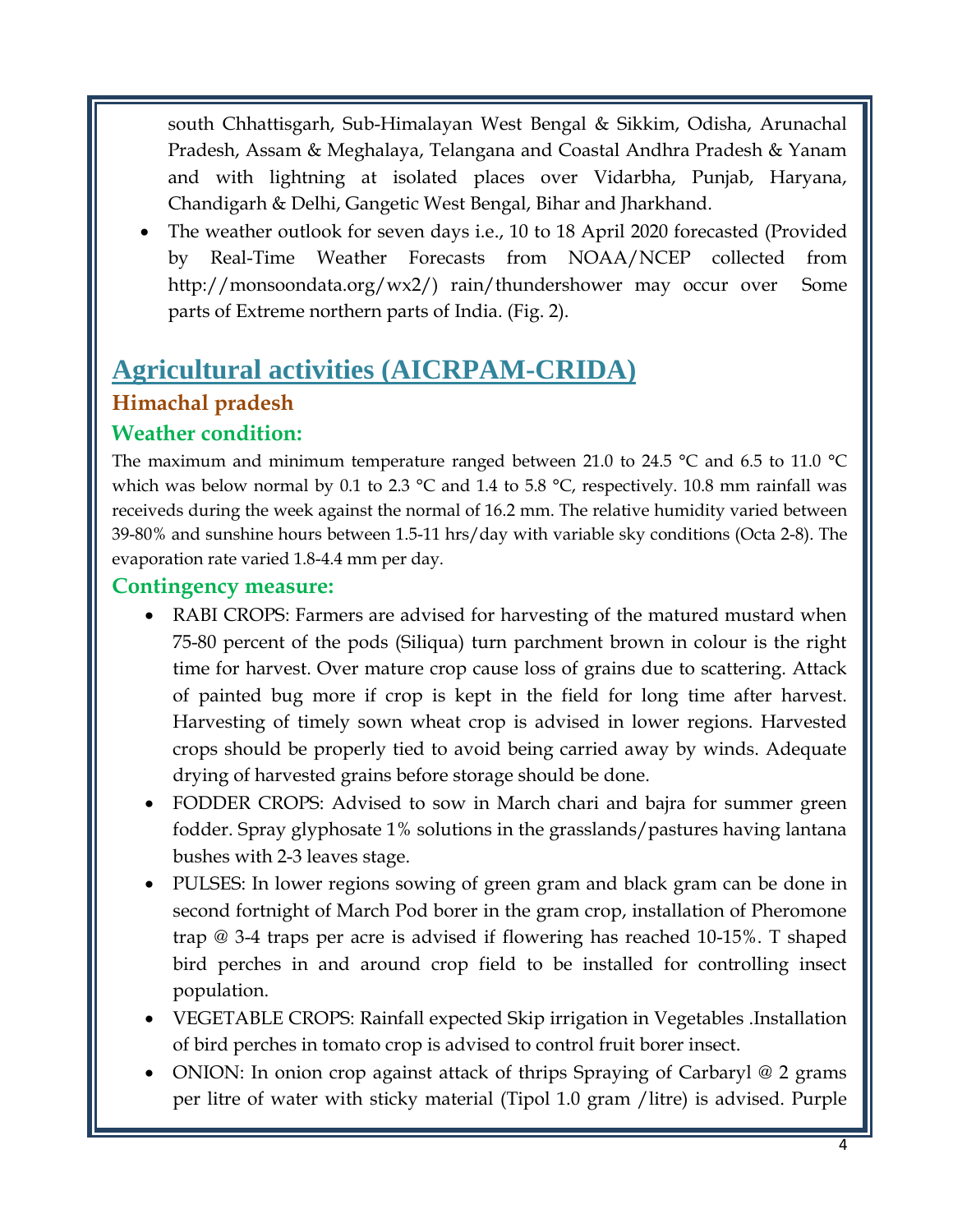south Chhattisgarh, Sub-Himalayan West Bengal & Sikkim, Odisha, Arunachal Pradesh, Assam & Meghalaya, Telangana and Coastal Andhra Pradesh & Yanam and with lightning at isolated places over Vidarbha, Punjab, Haryana, Chandigarh & Delhi, Gangetic West Bengal, Bihar and Jharkhand.

• The weather outlook for seven days *i.e.*, 10 to 18 April 2020 forecasted (Provided by Real-Time Weather Forecasts from NOAA/NCEP collected from http://monsoondata.org/wx2/) rain/thundershower may occur over Some parts of Extreme northern parts of India. (Fig. 2).

## **Agricultural activities (AICRPAM-CRIDA) Himachal pradesh**

## **Weather condition:**

The maximum and minimum temperature ranged between 21.0 to 24.5 °C and 6.5 to 11.0 °C which was below normal by 0.1 to 2.3  $\degree$ C and 1.4 to 5.8  $\degree$ C, respectively. 10.8 mm rainfall was receiveds during the week against the normal of 16.2 mm. The relative humidity varied between 39-80% and sunshine hours between 1.5-11 hrs/day with variable sky conditions (Octa 2-8). The evaporation rate varied 1.8-4.4 mm per day.

#### **Contingency measure:**

- RABI CROPS: Farmers are advised for harvesting of the matured mustard when 75-80 percent of the pods (Siliqua) turn parchment brown in colour is the right time for harvest. Over mature crop cause loss of grains due to scattering. Attack of painted bug more if crop is kept in the field for long time after harvest. Harvesting of timely sown wheat crop is advised in lower regions. Harvested crops should be properly tied to avoid being carried away by winds. Adequate drying of harvested grains before storage should be done.
- FODDER CROPS: Advised to sow in March chari and bajra for summer green fodder. Spray glyphosate 1% solutions in the grasslands/pastures having lantana bushes with 2-3 leaves stage.
- PULSES: In lower regions sowing of green gram and black gram can be done in second fortnight of March Pod borer in the gram crop, installation of Pheromone trap @ 3-4 traps per acre is advised if flowering has reached 10-15%. T shaped bird perches in and around crop field to be installed for controlling insect population.
- VEGETABLE CROPS: Rainfall expected Skip irrigation in Vegetables .Installation of bird perches in tomato crop is advised to control fruit borer insect.
- ONION: In onion crop against attack of thrips Spraying of Carbaryl @ 2 grams per litre of water with sticky material (Tipol 1.0 gram /litre) is advised. Purple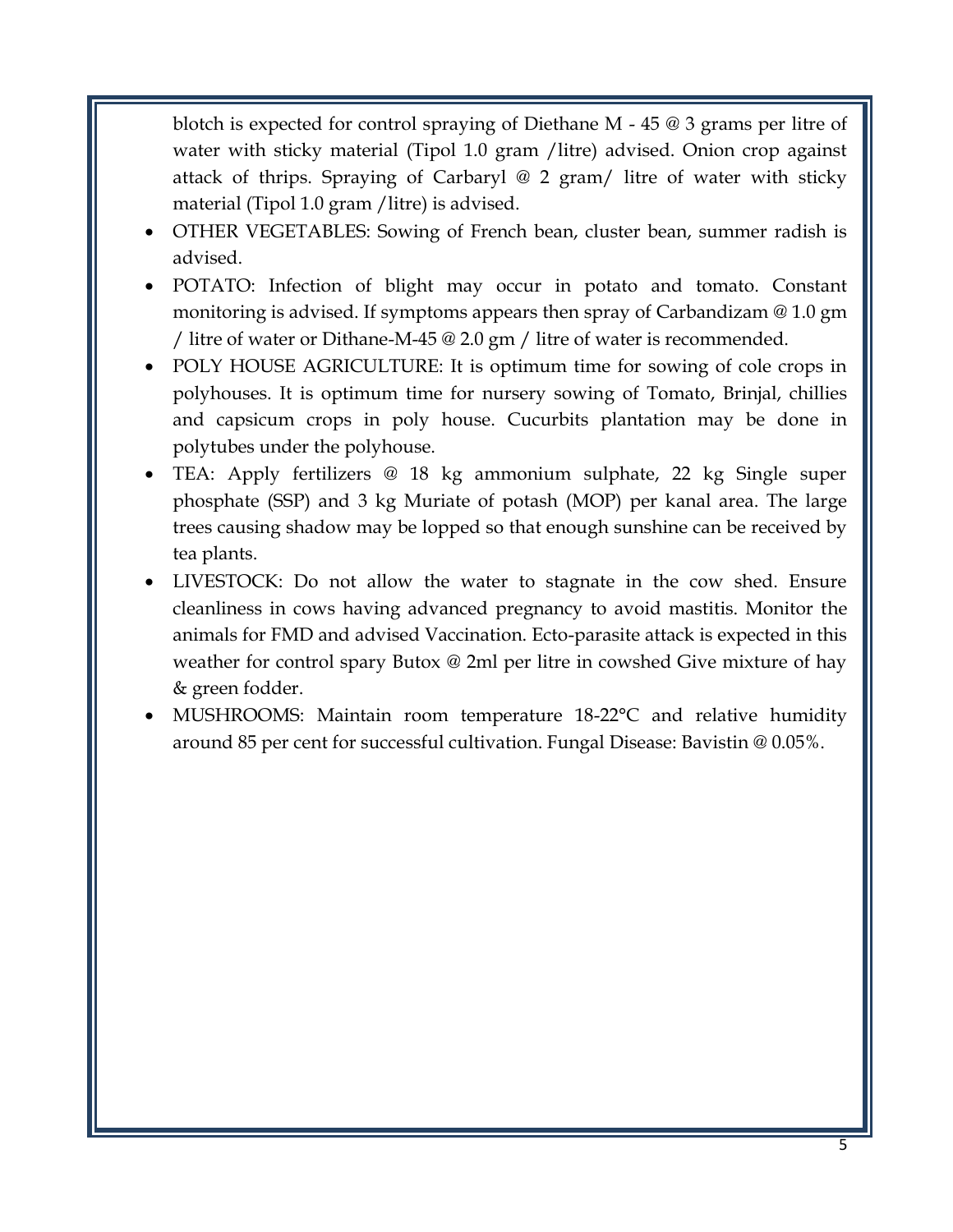blotch is expected for control spraying of Diethane M - 45 @ 3 grams per litre of water with sticky material (Tipol 1.0 gram /litre) advised. Onion crop against attack of thrips. Spraying of Carbaryl @ 2 gram/ litre of water with sticky material (Tipol 1.0 gram /litre) is advised.

- OTHER VEGETABLES: Sowing of French bean, cluster bean, summer radish is advised.
- POTATO: Infection of blight may occur in potato and tomato. Constant monitoring is advised. If symptoms appears then spray of Carbandizam @ 1.0 gm / litre of water or Dithane-M-45 @ 2.0 gm / litre of water is recommended.
- POLY HOUSE AGRICULTURE: It is optimum time for sowing of cole crops in polyhouses. It is optimum time for nursery sowing of Tomato, Brinjal, chillies and capsicum crops in poly house. Cucurbits plantation may be done in polytubes under the polyhouse.
- TEA: Apply fertilizers @ 18 kg ammonium sulphate, 22 kg Single super phosphate (SSP) and 3 kg Muriate of potash (MOP) per kanal area. The large trees causing shadow may be lopped so that enough sunshine can be received by tea plants.
- LIVESTOCK: Do not allow the water to stagnate in the cow shed. Ensure cleanliness in cows having advanced pregnancy to avoid mastitis. Monitor the animals for FMD and advised Vaccination. Ecto-parasite attack is expected in this weather for control spary Butox @ 2ml per litre in cowshed Give mixture of hay & green fodder.
- MUSHROOMS: Maintain room temperature 18-22°C and relative humidity around 85 per cent for successful cultivation. Fungal Disease: Bavistin @ 0.05%.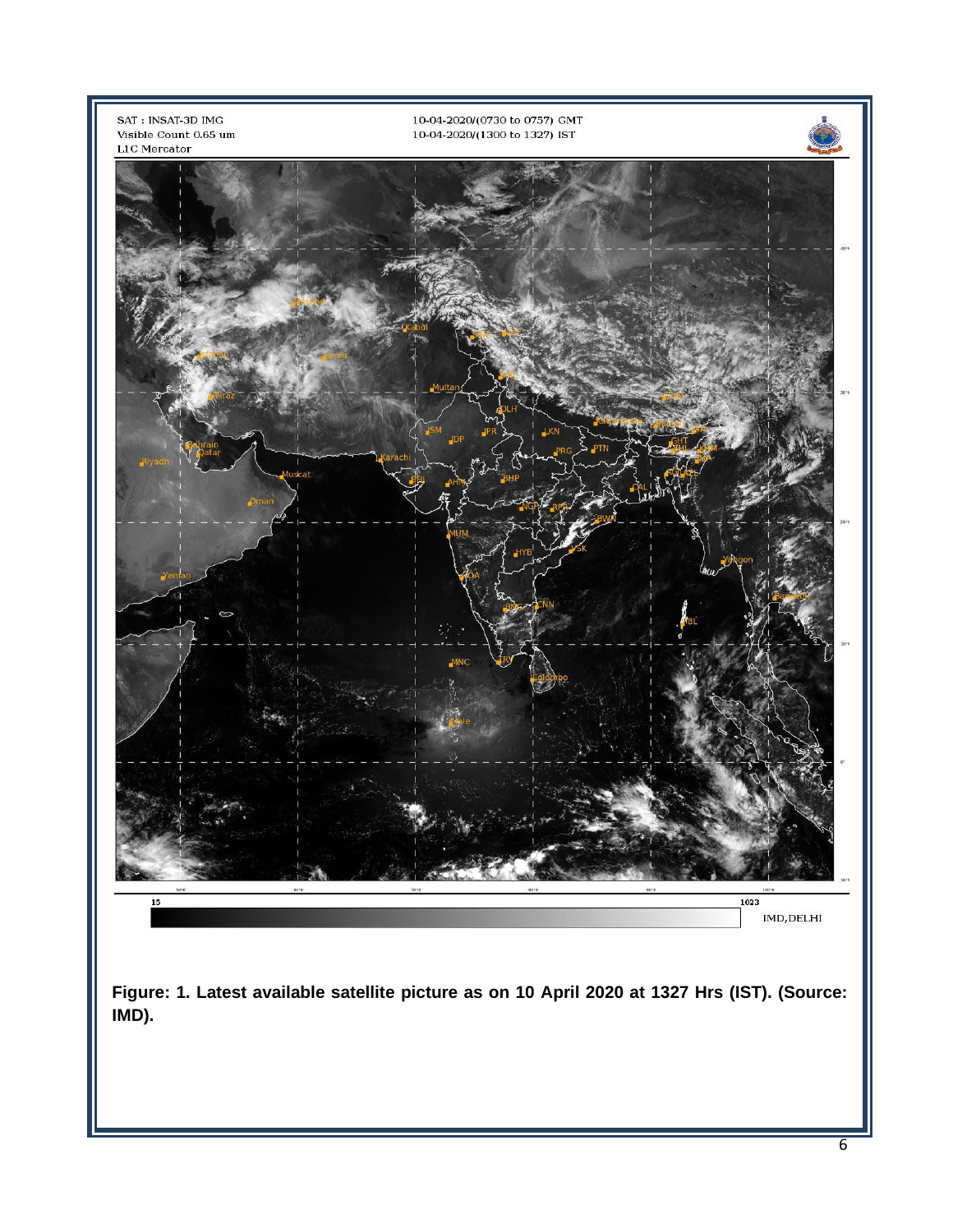

**IMD).**